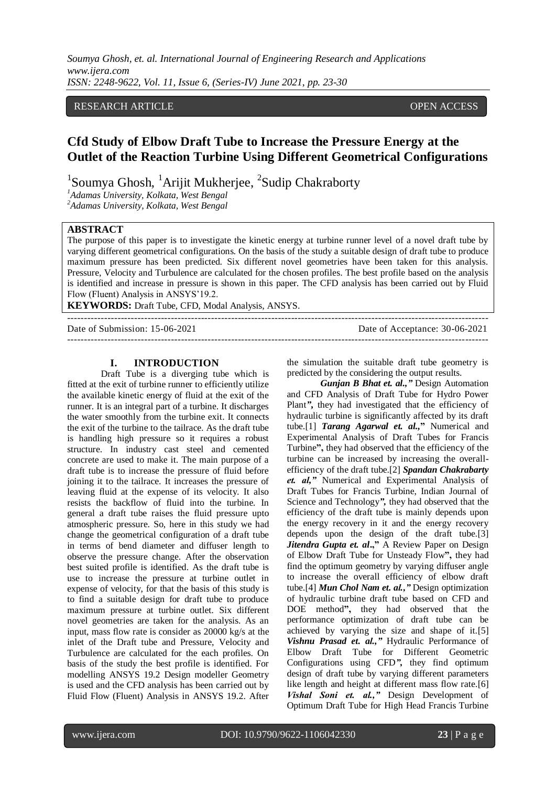# RESEARCH ARTICLE OPEN ACCESS

# **Cfd Study of Elbow Draft Tube to Increase the Pressure Energy at the Outlet of the Reaction Turbine Using Different Geometrical Configurations**

<sup>1</sup>Soumya Ghosh, <sup>1</sup>Arijit Mukherjee, <sup>2</sup>Sudip Chakraborty

*<sup>1</sup>Adamas University, Kolkata, West Bengal*

*<sup>2</sup>Adamas University, Kolkata, West Bengal*

# **ABSTRACT**

The purpose of this paper is to investigate the kinetic energy at turbine runner level of a novel draft tube by varying different geometrical configurations. On the basis of the study a suitable design of draft tube to produce maximum pressure has been predicted. Six different novel geometries have been taken for this analysis. Pressure, Velocity and Turbulence are calculated for the chosen profiles. The best profile based on the analysis is identified and increase in pressure is shown in this paper. The CFD analysis has been carried out by Fluid Flow (Fluent) Analysis in ANSYS'19.2.

------------------------------------------------------------------------------------------------------------------------------

------------------------------------------------------------------------------------------------------------------------------

**KEYWORDS:** Draft Tube, CFD, Modal Analysis, ANSYS.

Date of Submission: 15-06-2021 Date of Acceptance: 30-06-2021

#### **I. INTRODUCTION**

Draft Tube is a diverging tube which is fitted at the exit of turbine runner to efficiently utilize the available kinetic energy of fluid at the exit of the runner. It is an integral part of a turbine. It discharges the water smoothly from the turbine exit. It connects the exit of the turbine to the tailrace. As the draft tube is handling high pressure so it requires a robust structure. In industry cast steel and cemented concrete are used to make it. The main purpose of a draft tube is to increase the pressure of fluid before joining it to the tailrace. It increases the pressure of leaving fluid at the expense of its velocity. It also resists the backflow of fluid into the turbine. In general a draft tube raises the fluid pressure upto atmospheric pressure. So, here in this study we had change the geometrical configuration of a draft tube in terms of bend diameter and diffuser length to observe the pressure change. After the observation best suited profile is identified. As the draft tube is use to increase the pressure at turbine outlet in expense of velocity, for that the basis of this study is to find a suitable design for draft tube to produce maximum pressure at turbine outlet. Six different novel geometries are taken for the analysis. As an input, mass flow rate is consider as 20000 kg/s at the inlet of the Draft tube and Pressure, Velocity and Turbulence are calculated for the each profiles. On basis of the study the best profile is identified. For modelling ANSYS 19.2 Design modeller Geometry is used and the CFD analysis has been carried out by Fluid Flow (Fluent) Analysis in ANSYS 19.2. After

the simulation the suitable draft tube geometry is predicted by the considering the output results.

*Gunjan B Bhat et. al.,"* Design Automation and CFD Analysis of Draft Tube for Hydro Power Plant*"***,** they had investigated that the efficiency of hydraulic turbine is significantly affected by its draft tube.[1] *Tarang Agarwal et. al.,***"** Numerical and Experimental Analysis of Draft Tubes for Francis Turbine**",** they had observed that the efficiency of the turbine can be increased by increasing the overallefficiency of the draft tube.[2] *Spandan Chakrabarty et. al,"* Numerical and Experimental Analysis of Draft Tubes for Francis Turbine, Indian Journal of Science and Technology*",* they had observed that the efficiency of the draft tube is mainly depends upon the energy recovery in it and the energy recovery depends upon the design of the draft tube.[3] *Jitendra Gupta et. al***.,"** A Review Paper on Design of Elbow Draft Tube for Unsteady Flow**",** they had find the optimum geometry by varying diffuser angle to increase the overall efficiency of elbow draft tube.[4] *Mun Chol Nam et. al.,"* Design optimization of hydraulic turbine draft tube based on CFD and DOE method**",** they had observed that the performance optimization of draft tube can be achieved by varying the size and shape of it.[5] *Vishnu Prasad et. al.,"* Hydraulic Performance of Elbow Draft Tube for Different Geometric Configurations using CFD*",* they find optimum design of draft tube by varying different parameters like length and height at different mass flow rate.<sup>[6]</sup> *Vishal Soni et. al.,"* Design Development of Optimum Draft Tube for High Head Francis Turbine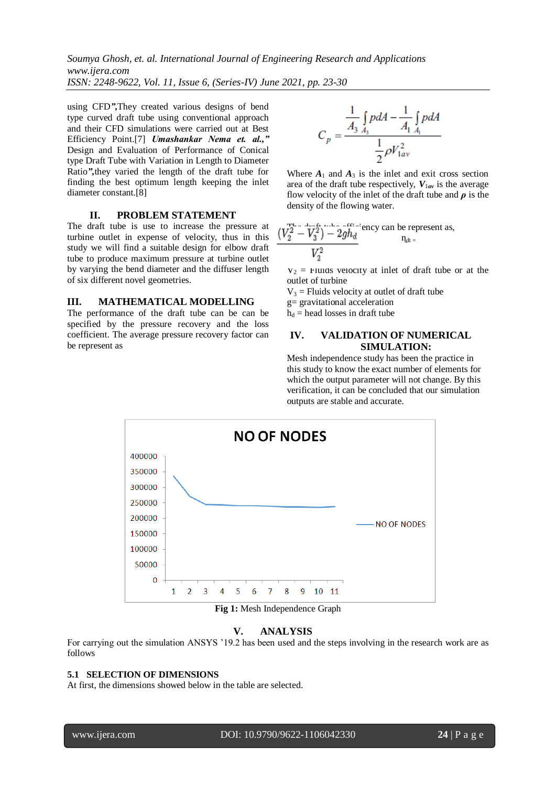using CFD*",*They created various designs of bend type curved draft tube using conventional approach and their CFD simulations were carried out at Best Efficiency Point.[7] *Umashankar Nema et. al.,"* Design and Evaluation of Performance of Conical type Draft Tube with Variation in Length to Diameter Ratio*",*they varied the length of the draft tube for finding the best optimum length keeping the inlet diameter constant.[8]

### **II. PROBLEM STATEMENT**

The draft tube is use to increase the pressure at turbine outlet in expense of velocity, thus in this study we will find a suitable design for elbow draft tube to produce maximum pressure at turbine outlet by varying the bend diameter and the diffuser length of six different novel geometries.

# **III. MATHEMATICAL MODELLING**

The performance of the draft tube can be can be specified by the pressure recovery and the loss coefficient. The average pressure recovery factor can be represent as

$$
C_p = \frac{\frac{1}{A_3} \int_{A_3} p dA - \frac{1}{A_1} \int_{A_1} p dA}{\frac{1}{2} \rho V_{1av}^2}
$$

Where  $A_1$  and  $A_3$  is the inlet and exit cross section area of the draft tube respectively,  $V_{1av}$  is the average flow velocity of the inlet of the draft tube and  $\rho$  is the density of the flowing water.

$$
\frac{(V_2^2 - V_3^2) - 2gh_d}{V_2^2}
$$
 'ency can be represent as,  

$$
\frac{n_{dt}}{n_{dt}}
$$

 $V_2$  = Fluids velocity at inlet of draft tube or at the outlet of turbine

 $V_3$  = Fluids velocity at outlet of draft tube

g= gravitational acceleration

 $h_d$  = head losses in draft tube

# **IV. VALIDATION OF NUMERICAL SIMULATION:**

Mesh independence study has been the practice in this study to know the exact number of elements for which the output parameter will not change. By this verification, it can be concluded that our simulation outputs are stable and accurate.



**Fig 1:** Mesh Independence Graph

### **V. ANALYSIS**

For carrying out the simulation ANSYS '19.2 has been used and the steps involving in the research work are as follows

# **5.1 SELECTION OF DIMENSIONS**

At first, the dimensions showed below in the table are selected.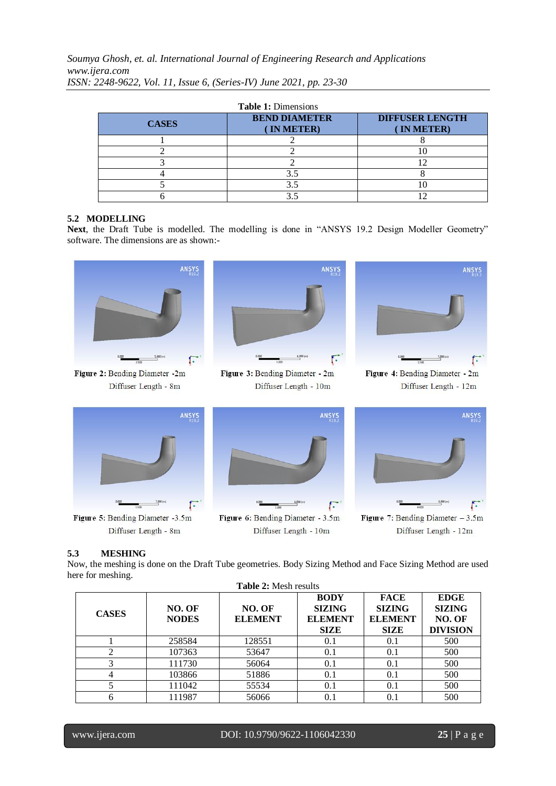*Soumya Ghosh, et. al. International Journal of Engineering Research and Applications www.ijera.com*

| <b>CASES</b> | <b>BEND DIAMETER</b><br>IN METER) | <b>DIFFUSER LENGTH</b><br>IN METER) |
|--------------|-----------------------------------|-------------------------------------|
|              |                                   |                                     |
|              |                                   |                                     |
|              |                                   |                                     |
|              |                                   |                                     |
|              |                                   |                                     |
|              |                                   |                                     |

*ISSN: 2248-9622, Vol. 11, Issue 6, (Series-IV) June 2021, pp. 23-30*

# **5.2 MODELLING**

Next, the Draft Tube is modelled. The modelling is done in "ANSYS 19.2 Design Modeller Geometry" software. The dimensions are as shown:-



Figure 2: Bending Diameter -2m Diffuser Length - 8m



Figure 3: Bending Diameter - 2m Diffuser Length - 10m



Figure 4: Bending Diameter - 2m Diffuser Length - 12m



Figure 5: Bending Diameter -3.5m Diffuser Length - 8m





Diffuser Length - 12m

# **5.3 MESHING**

Now, the meshing is done on the Draft Tube geometries. Body Sizing Method and Face Sizing Method are used here for meshing.

| <b>Table 2: Mesh results</b> |                        |                          |                                                               |                                                               |                                                           |  |  |
|------------------------------|------------------------|--------------------------|---------------------------------------------------------------|---------------------------------------------------------------|-----------------------------------------------------------|--|--|
| <b>CASES</b>                 | NO. OF<br><b>NODES</b> | NO. OF<br><b>ELEMENT</b> | <b>BODY</b><br><b>SIZING</b><br><b>ELEMENT</b><br><b>SIZE</b> | <b>FACE</b><br><b>SIZING</b><br><b>ELEMENT</b><br><b>SIZE</b> | <b>EDGE</b><br><b>SIZING</b><br>NO. OF<br><b>DIVISION</b> |  |  |
|                              | 258584                 | 128551                   | 0.1                                                           | 0.1                                                           | 500                                                       |  |  |
|                              | 107363                 | 53647                    | 0.1                                                           | 0.1                                                           | 500                                                       |  |  |
|                              | 111730                 | 56064                    | 0.1                                                           | 0.1                                                           | 500                                                       |  |  |
| 4                            | 103866                 | 51886                    | 0.1                                                           | 0.1                                                           | 500                                                       |  |  |
|                              | 111042                 | 55534                    | 0.1                                                           | 0.1                                                           | 500                                                       |  |  |
|                              | 111987                 | 56066                    |                                                               | 0.1                                                           | 500                                                       |  |  |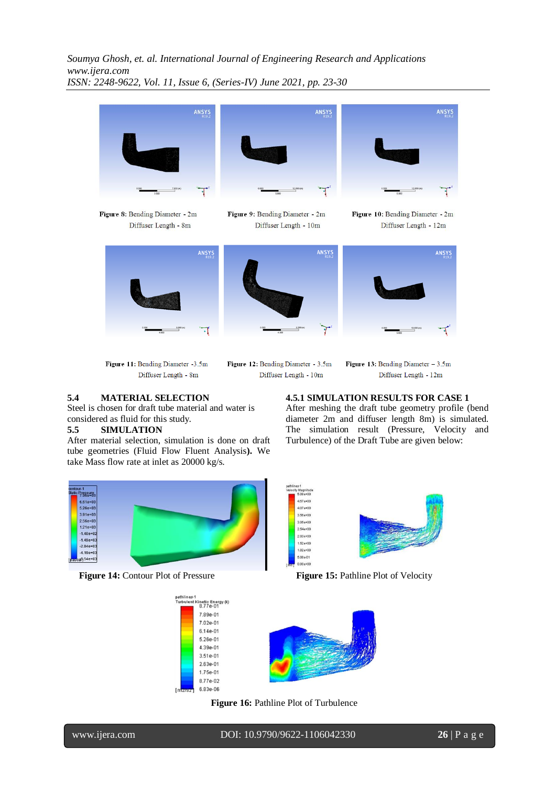

Diffuser Length - 10m

Figure 11: Bending Diameter -3.5m Diffuser Length - 8m

# **5.4 MATERIAL SELECTION**

Steel is chosen for draft tube material and water is considered as fluid for this study.

# **5.5 SIMULATION**

After material selection, simulation is done on draft tube geometries (Fluid Flow Fluent Analysis**).** We take Mass flow rate at inlet as 20000 kg/s.

**Figure 13:** Bending Diameter  $-3.5m$ Diffuser Length - 12m

**4.5.1 SIMULATION RESULTS FOR CASE 1** After meshing the draft tube geometry profile (bend diameter 2m and diffuser length 8m) is simulated. The simulation result (Pressure, Velocity and Turbulence) of the Draft Tube are given below:





**Figure 14:** Contour Plot of Pressure **Figure 15:** Pathline Plot of Velocity



**Figure 16:** Pathline Plot of Turbulence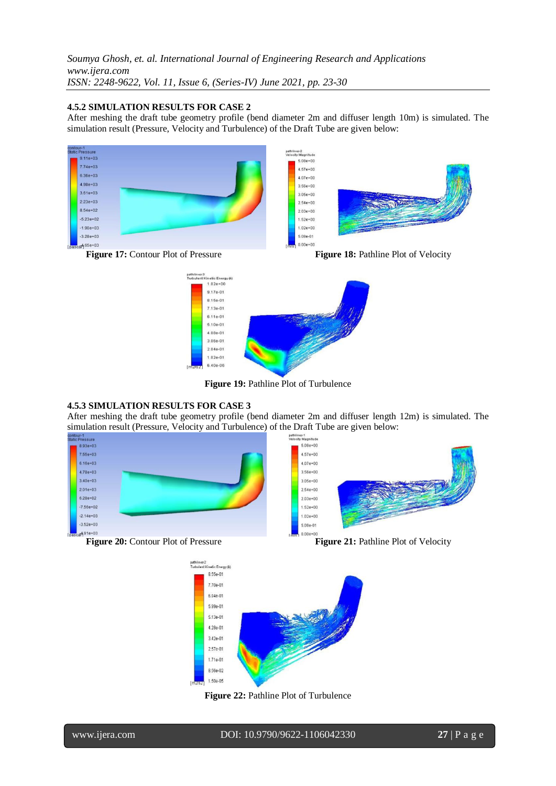### **4.5.2 SIMULATION RESULTS FOR CASE 2**

After meshing the draft tube geometry profile (bend diameter 2m and diffuser length 10m) is simulated. The simulation result (Pressure, Velocity and Turbulence) of the Draft Tube are given below:









**Figure 19:** Pathline Plot of Turbulence

# **4.5.3 SIMULATION RESULTS FOR CASE 3**

After meshing the draft tube geometry profile (bend diameter 2m and diffuser length 12m) is simulated. The simulation result (Pressure, Velocity and Turbulence) of the Draft Tube are given below:<br>
STRIP (STRIP) SONG PROBLEM CONTROLLED AND DELTA CONTROLLED AND DELTA CONTROLLED AND DELTA CONTROLLED AND DELTA CONTROLLED AND DELTA









**Figure 22:** Pathline Plot of Turbulence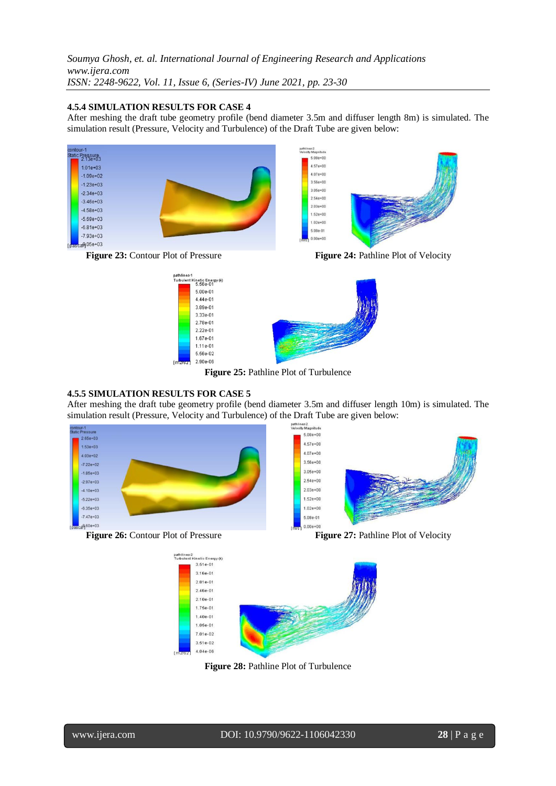### **4.5.4 SIMULATION RESULTS FOR CASE 4**

After meshing the draft tube geometry profile (bend diameter 3.5m and diffuser length 8m) is simulated. The simulation result (Pressure, Velocity and Turbulence) of the Draft Tube are given below:





**Figure 25:** Pathline Plot of Turbulence

### **4.5.5 SIMULATION RESULTS FOR CASE 5**

After meshing the draft tube geometry profile (bend diameter 3.5m and diffuser length 10m) is simulated. The simulation result (Pressure, Velocity and Turbulence) of the Draft Tube are given below:

> pathlines-2<br>Velocity Magnitude  $5.08e + 00$

> > $4.57e+00$

 $4.07e + 00$ 

3.56e+00

 $3.05e + 00$ 

 $2.54e+00$ 

 $2.03e + 00$ 

 $1.52e + 00$ 

 $1.02e + 00$ 

5.08e-01





 $0.00e + 00$ 



**Figure 28:** Pathline Plot of Turbulence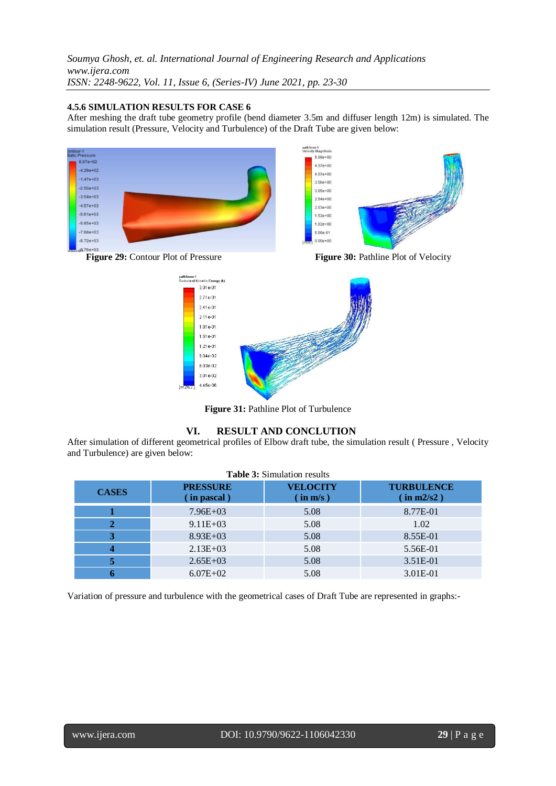### **4.5.6 SIMULATION RESULTS FOR CASE 6**

After meshing the draft tube geometry profile (bend diameter 3.5m and diffuser length 12m) is simulated. The simulation result (Pressure, Velocity and Turbulence) of the Draft Tube are given below:



**Figure 31:** Pathline Plot of Turbulence

# **VI. RESULT AND CONCLUTION**

After simulation of different geometrical profiles of Elbow draft tube, the simulation result ( Pressure , Velocity and Turbulence) are given below:

| <b>Table 3:</b> Simulation results |                                  |                             |          |  |  |  |  |  |
|------------------------------------|----------------------------------|-----------------------------|----------|--|--|--|--|--|
| <b>CASES</b>                       | <b>PRESSURE</b><br>$(in$ pascal) | <b>VELOCITY</b><br>(in m/s) |          |  |  |  |  |  |
|                                    | $7.96E+03$                       | 5.08                        | 8.77E-01 |  |  |  |  |  |
|                                    | $9.11E + 03$                     | 5.08                        | 1.02     |  |  |  |  |  |
| 3                                  | $8.93E+03$                       | 5.08                        | 8.55E-01 |  |  |  |  |  |
|                                    | $2.13E+03$                       | 5.08                        | 5.56E-01 |  |  |  |  |  |
|                                    | $2.65E+03$                       | 5.08                        | 3.51E-01 |  |  |  |  |  |
|                                    | $6.07E + 02$                     | 5.08                        | 3.01E-01 |  |  |  |  |  |

Variation of pressure and turbulence with the geometrical cases of Draft Tube are represented in graphs:-